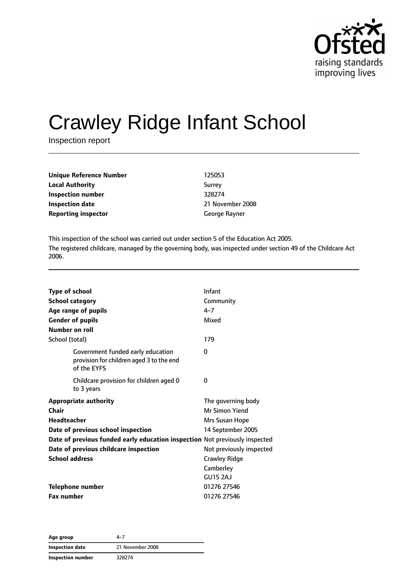

# Crawley Ridge Infant School

Inspection report

| Unique Reference Number    | 125053           |
|----------------------------|------------------|
| <b>Local Authority</b>     | Surrey           |
| Inspection number          | 328274           |
| <b>Inspection date</b>     | 21 November 2008 |
| <b>Reporting inspector</b> | George Rayner    |

This inspection of the school was carried out under section 5 of the Education Act 2005. The registered childcare, managed by the governing body, was inspected under section 49 of the Childcare Act 2006.

| <b>Type of school</b>   |                                                                                              | Infant                   |
|-------------------------|----------------------------------------------------------------------------------------------|--------------------------|
| <b>School category</b>  |                                                                                              | Community                |
|                         | Age range of pupils                                                                          | $4 - 7$                  |
| <b>Gender of pupils</b> |                                                                                              | Mixed                    |
| Number on roll          |                                                                                              |                          |
| School (total)          |                                                                                              | 179                      |
|                         | Government funded early education<br>provision for children aged 3 to the end<br>of the EYFS | 0                        |
|                         | Childcare provision for children aged 0<br>to 3 years                                        | 0                        |
|                         | <b>Appropriate authority</b>                                                                 | The governing body       |
| Chair                   |                                                                                              | Mr Simon Yiend           |
| <b>Headteacher</b>      |                                                                                              | Mrs Susan Hope           |
|                         | Date of previous school inspection                                                           | 14 September 2005        |
|                         | Date of previous funded early education inspection Not previously inspected                  |                          |
|                         | Date of previous childcare inspection                                                        | Not previously inspected |
| <b>School address</b>   |                                                                                              | <b>Crawley Ridge</b>     |
|                         |                                                                                              | Camberley                |
|                         |                                                                                              | <b>GU15 2AJ</b>          |
|                         | <b>Telephone number</b>                                                                      | 01276 27546              |
| <b>Fax number</b>       |                                                                                              | 01276 27546              |

**Age group** 4–7 **Inspection date** 21 November 2008 **Inspection number** 328274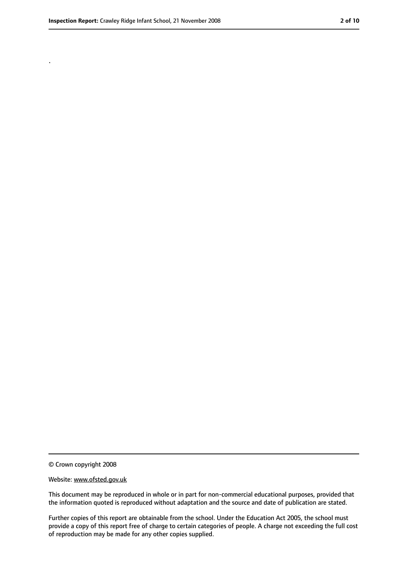.

<sup>©</sup> Crown copyright 2008

Website: www.ofsted.gov.uk

This document may be reproduced in whole or in part for non-commercial educational purposes, provided that the information quoted is reproduced without adaptation and the source and date of publication are stated.

Further copies of this report are obtainable from the school. Under the Education Act 2005, the school must provide a copy of this report free of charge to certain categories of people. A charge not exceeding the full cost of reproduction may be made for any other copies supplied.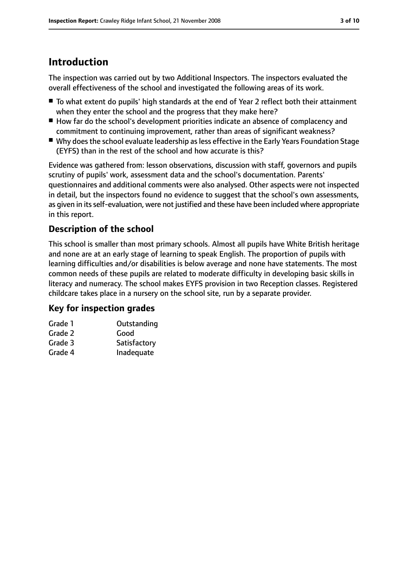# **Introduction**

The inspection was carried out by two Additional Inspectors. The inspectors evaluated the overall effectiveness of the school and investigated the following areas of its work.

- To what extent do pupils' high standards at the end of Year 2 reflect both their attainment when they enter the school and the progress that they make here?
- How far do the school's development priorities indicate an absence of complacency and commitment to continuing improvement, rather than areas of significant weakness?
- Why does the school evaluate leadership as less effective in the Early Years Foundation Stage (EYFS) than in the rest of the school and how accurate is this?

Evidence was gathered from: lesson observations, discussion with staff, governors and pupils scrutiny of pupils' work, assessment data and the school's documentation. Parents' questionnaires and additional comments were also analysed. Other aspects were not inspected in detail, but the inspectors found no evidence to suggest that the school's own assessments, as given in its self-evaluation, were not justified and these have been included where appropriate in this report.

#### **Description of the school**

This school is smaller than most primary schools. Almost all pupils have White British heritage and none are at an early stage of learning to speak English. The proportion of pupils with learning difficulties and/or disabilities is below average and none have statements. The most common needs of these pupils are related to moderate difficulty in developing basic skills in literacy and numeracy. The school makes EYFS provision in two Reception classes. Registered childcare takes place in a nursery on the school site, run by a separate provider.

#### **Key for inspection grades**

| Grade 1 | Outstanding  |
|---------|--------------|
| Grade 2 | Good         |
| Grade 3 | Satisfactory |
| Grade 4 | Inadequate   |
|         |              |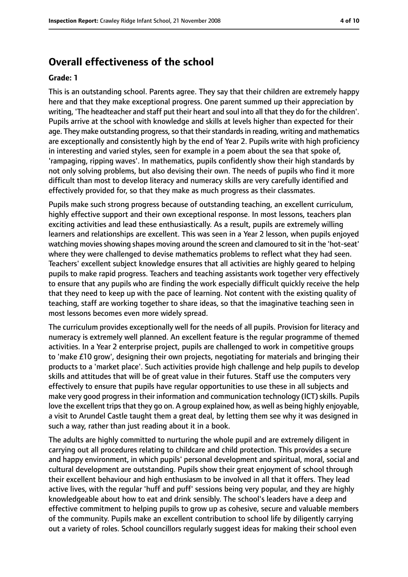# **Overall effectiveness of the school**

#### **Grade: 1**

This is an outstanding school. Parents agree. They say that their children are extremely happy here and that they make exceptional progress. One parent summed up their appreciation by writing, 'The headteacher and staff put their heart and soul into all that they do for the children'. Pupils arrive at the school with knowledge and skills at levels higher than expected for their age. They make outstanding progress, so that their standards in reading, writing and mathematics are exceptionally and consistently high by the end of Year 2. Pupils write with high proficiency in interesting and varied styles, seen for example in a poem about the sea that spoke of, 'rampaging, ripping waves'. In mathematics, pupils confidently show their high standards by not only solving problems, but also devising their own. The needs of pupils who find it more difficult than most to develop literacy and numeracy skills are very carefully identified and effectively provided for, so that they make as much progress as their classmates.

Pupils make such strong progress because of outstanding teaching, an excellent curriculum, highly effective support and their own exceptional response. In most lessons, teachers plan exciting activities and lead these enthusiastically. As a result, pupils are extremely willing learners and relationships are excellent. This was seen in a Year 2 lesson, when pupils enjoyed watching moviesshowing shapes moving around the screen and clamoured to sit in the 'hot-seat' where they were challenged to devise mathematics problems to reflect what they had seen. Teachers' excellent subject knowledge ensures that all activities are highly geared to helping pupils to make rapid progress. Teachers and teaching assistants work together very effectively to ensure that any pupils who are finding the work especially difficult quickly receive the help that they need to keep up with the pace of learning. Not content with the existing quality of teaching, staff are working together to share ideas, so that the imaginative teaching seen in most lessons becomes even more widely spread.

The curriculum provides exceptionally well for the needs of all pupils. Provision for literacy and numeracy is extremely well planned. An excellent feature is the regular programme of themed activities. In a Year 2 enterprise project, pupils are challenged to work in competitive groups to 'make £10 grow', designing their own projects, negotiating for materials and bringing their products to a 'market place'. Such activities provide high challenge and help pupils to develop skills and attitudes that will be of great value in their futures. Staff use the computers very effectively to ensure that pupils have regular opportunities to use these in all subjects and make very good progress in their information and communication technology (ICT) skills. Pupils love the excellent trips that they go on. A group explained how, as well as being highly enjoyable, a visit to Arundel Castle taught them a great deal, by letting them see why it was designed in such a way, rather than just reading about it in a book.

The adults are highly committed to nurturing the whole pupil and are extremely diligent in carrying out all procedures relating to childcare and child protection. This provides a secure and happy environment, in which pupils' personal development and spiritual, moral, social and cultural development are outstanding. Pupils show their great enjoyment of school through their excellent behaviour and high enthusiasm to be involved in all that it offers. They lead active lives, with the regular 'huff and puff' sessions being very popular, and they are highly knowledgeable about how to eat and drink sensibly. The school's leaders have a deep and effective commitment to helping pupils to grow up as cohesive, secure and valuable members of the community. Pupils make an excellent contribution to school life by diligently carrying out a variety of roles. School councillors regularly suggest ideas for making their school even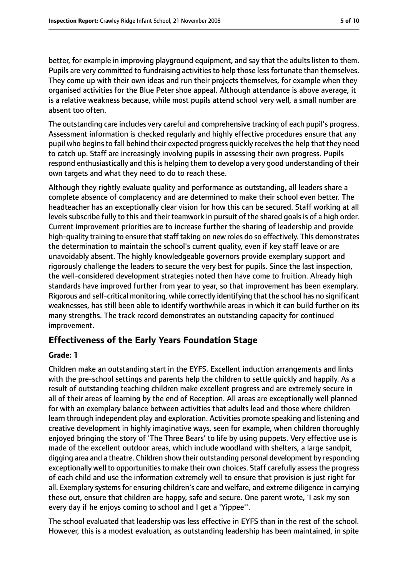better, for example in improving playground equipment, and say that the adults listen to them. Pupils are very committed to fundraising activities to help those less fortunate than themselves. They come up with their own ideas and run their projects themselves, for example when they organised activities for the Blue Peter shoe appeal. Although attendance is above average, it is a relative weakness because, while most pupils attend school very well, a small number are absent too often.

The outstanding care includes very careful and comprehensive tracking of each pupil's progress. Assessment information is checked regularly and highly effective procedures ensure that any pupil who begins to fall behind their expected progress quickly receives the help that they need to catch up. Staff are increasingly involving pupils in assessing their own progress. Pupils respond enthusiastically and this is helping them to develop a very good understanding of their own targets and what they need to do to reach these.

Although they rightly evaluate quality and performance as outstanding, all leaders share a complete absence of complacency and are determined to make their school even better. The headteacher has an exceptionally clear vision for how this can be secured. Staff working at all levels subscribe fully to this and their teamwork in pursuit of the shared goals is of a high order. Current improvement priorities are to increase further the sharing of leadership and provide high-quality training to ensure that staff taking on new roles do so effectively. This demonstrates the determination to maintain the school's current quality, even if key staff leave or are unavoidably absent. The highly knowledgeable governors provide exemplary support and rigorously challenge the leaders to secure the very best for pupils. Since the last inspection, the well-considered development strategies noted then have come to fruition. Already high standards have improved further from year to year, so that improvement has been exemplary. Rigorous and self-critical monitoring, while correctly identifying that the school has no significant weaknesses, has still been able to identify worthwhile areas in which it can build further on its many strengths. The track record demonstrates an outstanding capacity for continued improvement.

#### **Effectiveness of the Early Years Foundation Stage**

#### **Grade: 1**

Children make an outstanding start in the EYFS. Excellent induction arrangements and links with the pre-school settings and parents help the children to settle quickly and happily. As a result of outstanding teaching children make excellent progress and are extremely secure in all of their areas of learning by the end of Reception. All areas are exceptionally well planned for with an exemplary balance between activities that adults lead and those where children learn through independent play and exploration. Activities promote speaking and listening and creative development in highly imaginative ways, seen for example, when children thoroughly enjoyed bringing the story of 'The Three Bears' to life by using puppets. Very effective use is made of the excellent outdoor areas, which include woodland with shelters, a large sandpit, digging area and a theatre. Children show their outstanding personal development by responding exceptionally well to opportunities to make their own choices. Staff carefully assess the progress of each child and use the information extremely well to ensure that provision is just right for all. Exemplary systems for ensuring children's care and welfare, and extreme diligence in carrying these out, ensure that children are happy, safe and secure. One parent wrote, 'I ask my son every day if he enjoys coming to school and I get a 'Yippee''.

The school evaluated that leadership was less effective in EYFS than in the rest of the school. However, this is a modest evaluation, as outstanding leadership has been maintained, in spite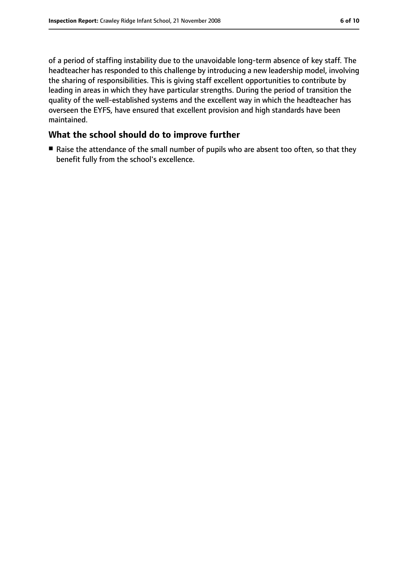of a period of staffing instability due to the unavoidable long-term absence of key staff. The headteacher has responded to this challenge by introducing a new leadership model, involving the sharing of responsibilities. This is giving staff excellent opportunities to contribute by leading in areas in which they have particular strengths. During the period of transition the quality of the well-established systems and the excellent way in which the headteacher has overseen the EYFS, have ensured that excellent provision and high standards have been maintained.

#### **What the school should do to improve further**

■ Raise the attendance of the small number of pupils who are absent too often, so that they benefit fully from the school's excellence.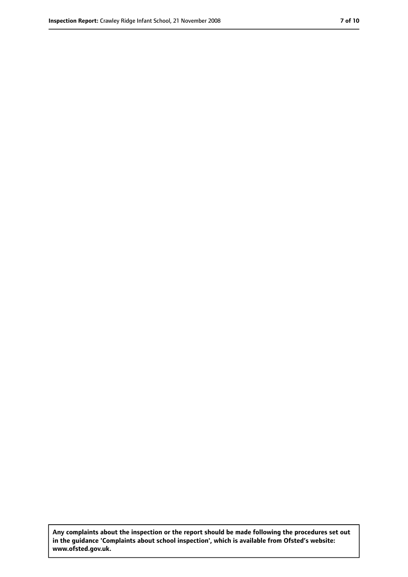**Any complaints about the inspection or the report should be made following the procedures set out in the guidance 'Complaints about school inspection', which is available from Ofsted's website: www.ofsted.gov.uk.**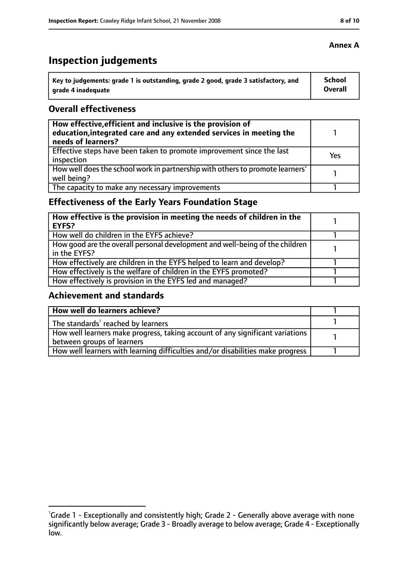# **Inspection judgements**

| $^{\prime}$ Key to judgements: grade 1 is outstanding, grade 2 good, grade 3 satisfactory, and | <b>School</b>  |
|------------------------------------------------------------------------------------------------|----------------|
| arade 4 inadequate                                                                             | <b>Overall</b> |

#### **Overall effectiveness**

| How effective, efficient and inclusive is the provision of<br>education, integrated care and any extended services in meeting the<br>needs of learners? |     |
|---------------------------------------------------------------------------------------------------------------------------------------------------------|-----|
| Effective steps have been taken to promote improvement since the last<br>inspection                                                                     | Yes |
| How well does the school work in partnership with others to promote learners'<br>well being?                                                            |     |
| The capacity to make any necessary improvements                                                                                                         |     |

# **Effectiveness of the Early Years Foundation Stage**

| How effective is the provision in meeting the needs of children in the<br>EYFS?              |  |
|----------------------------------------------------------------------------------------------|--|
| How well do children in the EYFS achieve?                                                    |  |
| How good are the overall personal development and well-being of the children<br>in the EYFS? |  |
| How effectively are children in the EYFS helped to learn and develop?                        |  |
| How effectively is the welfare of children in the EYFS promoted?                             |  |
| How effectively is provision in the EYFS led and managed?                                    |  |

#### **Achievement and standards**

| How well do learners achieve?                                                  |  |
|--------------------------------------------------------------------------------|--|
| The standards <sup>1</sup> reached by learners                                 |  |
| How well learners make progress, taking account of any significant variations  |  |
| between groups of learners                                                     |  |
| How well learners with learning difficulties and/or disabilities make progress |  |

#### **Annex A**

<sup>&</sup>lt;sup>1</sup>Grade 1 - Exceptionally and consistently high; Grade 2 - Generally above average with none significantly below average; Grade 3 - Broadly average to below average; Grade 4 - Exceptionally low.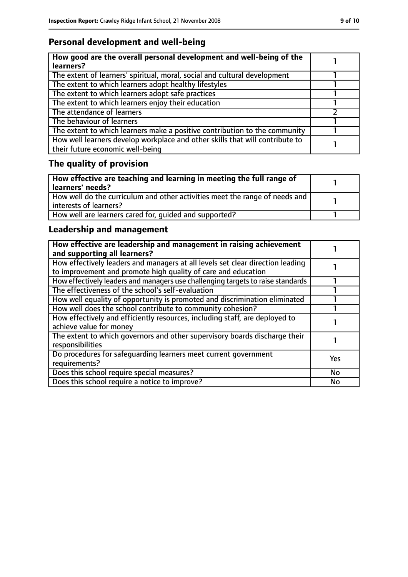# **Personal development and well-being**

| How good are the overall personal development and well-being of the<br>learners?                                 |  |
|------------------------------------------------------------------------------------------------------------------|--|
| The extent of learners' spiritual, moral, social and cultural development                                        |  |
| The extent to which learners adopt healthy lifestyles                                                            |  |
| The extent to which learners adopt safe practices                                                                |  |
| The extent to which learners enjoy their education                                                               |  |
| The attendance of learners                                                                                       |  |
| The behaviour of learners                                                                                        |  |
| The extent to which learners make a positive contribution to the community                                       |  |
| How well learners develop workplace and other skills that will contribute to<br>their future economic well-being |  |

# **The quality of provision**

| How effective are teaching and learning in meeting the full range of<br>learners' needs?              |  |
|-------------------------------------------------------------------------------------------------------|--|
| How well do the curriculum and other activities meet the range of needs and<br>interests of learners? |  |
| How well are learners cared for, quided and supported?                                                |  |

# **Leadership and management**

| How effective are leadership and management in raising achievement<br>and supporting all learners?                                              |            |
|-------------------------------------------------------------------------------------------------------------------------------------------------|------------|
| How effectively leaders and managers at all levels set clear direction leading<br>to improvement and promote high quality of care and education |            |
| How effectively leaders and managers use challenging targets to raise standards                                                                 |            |
| The effectiveness of the school's self-evaluation                                                                                               |            |
| How well equality of opportunity is promoted and discrimination eliminated                                                                      |            |
| How well does the school contribute to community cohesion?                                                                                      |            |
| How effectively and efficiently resources, including staff, are deployed to<br>achieve value for money                                          |            |
| The extent to which governors and other supervisory boards discharge their<br>responsibilities                                                  |            |
| Do procedures for safequarding learners meet current government<br>requirements?                                                                | <b>Yes</b> |
| Does this school require special measures?                                                                                                      | <b>No</b>  |
| Does this school require a notice to improve?                                                                                                   | No         |